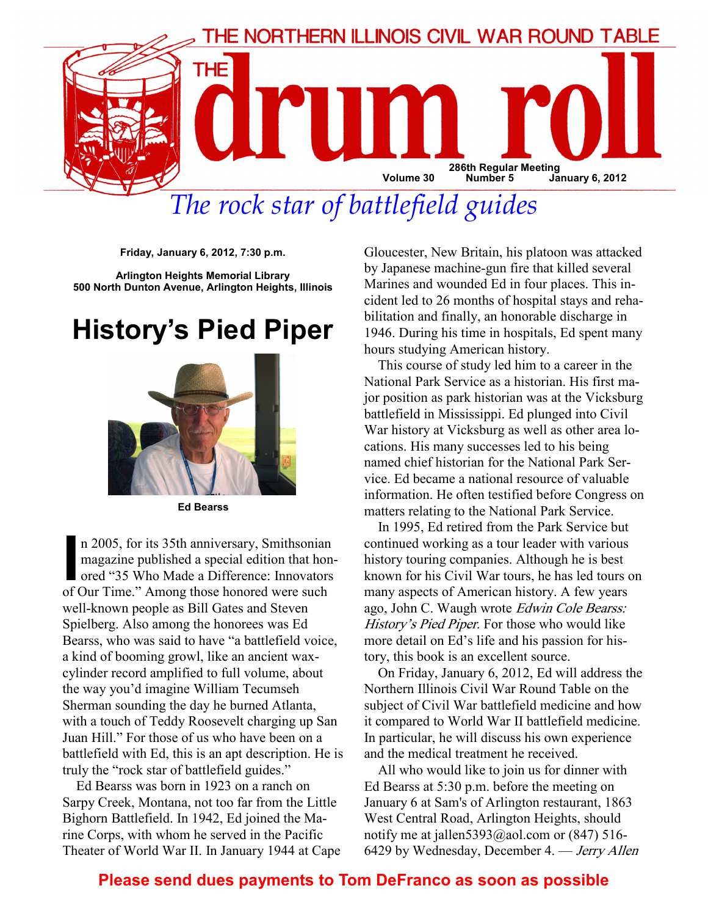

# The rock star of battlefield guides

Friday, January 6, 2012, 7:30 p.m.

Arlington Heights Memorial Library 500 North Dunton Avenue, Arlington Heights, Illinois

## History's Pied Piper



Ed Bearss

n 2005, for its 35th anniversary, Smithsonian<br>magazine published a special edition that hon-<br>ored "35 Who Made a Difference: Innovators<br>of Our Time " Among those honored were such magazine published a special edition that honored "35 Who Made a Difference: Innovators of Our Time." Among those honored were such well-known people as Bill Gates and Steven Spielberg. Also among the honorees was Ed Bearss, who was said to have "a battlefield voice, a kind of booming growl, like an ancient waxcylinder record amplified to full volume, about the way you'd imagine William Tecumseh Sherman sounding the day he burned Atlanta, with a touch of Teddy Roosevelt charging up San Juan Hill." For those of us who have been on a battlefield with Ed, this is an apt description. He is truly the "rock star of battlefield guides."

Ed Bearss was born in 1923 on a ranch on Sarpy Creek, Montana, not too far from the Little Bighorn Battlefield. In 1942, Ed joined the Marine Corps, with whom he served in the Pacific Theater of World War II. In January 1944 at Cape Gloucester, New Britain, his platoon was attacked by Japanese machine-gun fire that killed several Marines and wounded Ed in four places. This incident led to 26 months of hospital stays and rehabilitation and finally, an honorable discharge in 1946. During his time in hospitals, Ed spent many hours studying American history.

This course of study led him to a career in the National Park Service as a historian. His first major position as park historian was at the Vicksburg battlefield in Mississippi. Ed plunged into Civil War history at Vicksburg as well as other area locations. His many successes led to his being named chief historian for the National Park Service. Ed became a national resource of valuable information. He often testified before Congress on matters relating to the National Park Service.

In 1995, Ed retired from the Park Service but continued working as a tour leader with various history touring companies. Although he is best known for his Civil War tours, he has led tours on many aspects of American history. A few years ago, John C. Waugh wrote Edwin Cole Bearss: History's Pied Piper. For those who would like more detail on Ed's life and his passion for history, this book is an excellent source.

On Friday, January 6, 2012, Ed will address the Northern Illinois Civil War Round Table on the subject of Civil War battlefield medicine and how it compared to World War II battlefield medicine. In particular, he will discuss his own experience and the medical treatment he received.

All who would like to join us for dinner with Ed Bearss at 5:30 p.m. before the meeting on January 6 at Sam's of Arlington restaurant, 1863 West Central Road, Arlington Heights, should notify me at jallen  $5393@a$ <sub>0</sub>l.com or (847) 516-6429 by Wednesday, December 4. — Jerry Allen

## Please send dues payments to Tom DeFranco as soon as possible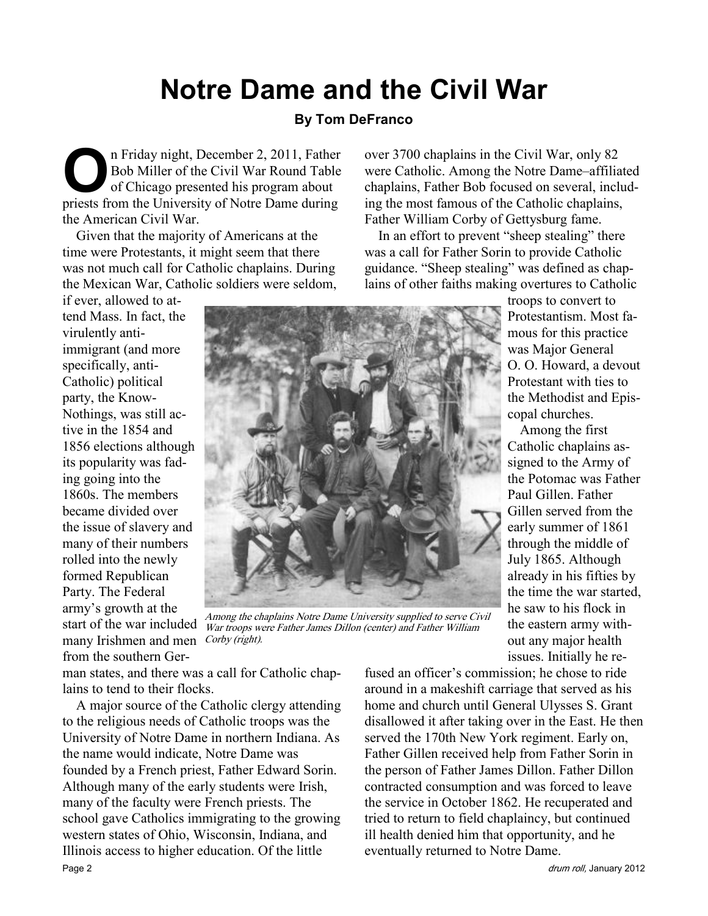## Notre Dame and the Civil War

### By Tom DeFranco

On Friday night, December 2, 2011, Father<br>Bob Miller of the Civil War Round Table<br>of Chicago presented his program about<br>priests from the University of Notre Dame during Bob Miller of the Civil War Round Table of Chicago presented his program about priests from the University of Notre Dame during the American Civil War.

Given that the majority of Americans at the time were Protestants, it might seem that there was not much call for Catholic chaplains. During the Mexican War, Catholic soldiers were seldom,

if ever, allowed to attend Mass. In fact, the virulently antiimmigrant (and more specifically, anti-Catholic) political party, the Know-Nothings, was still active in the 1854 and 1856 elections although its popularity was fading going into the 1860s. The members became divided over the issue of slavery and many of their numbers rolled into the newly formed Republican Party. The Federal army's growth at the start of the war included many Irishmen and men Corby (right). from the southern Ger-



Among the chaplains Notre Dame University supplied to serve Civil War troops were Father James Dillon (center) and Father William

man states, and there was a call for Catholic chaplains to tend to their flocks.

A major source of the Catholic clergy attending to the religious needs of Catholic troops was the University of Notre Dame in northern Indiana. As the name would indicate, Notre Dame was founded by a French priest, Father Edward Sorin. Although many of the early students were Irish, many of the faculty were French priests. The school gave Catholics immigrating to the growing western states of Ohio, Wisconsin, Indiana, and Illinois access to higher education. Of the little Page 2 drum roll, January 2012

over 3700 chaplains in the Civil War, only 82 were Catholic. Among the Notre Dame–affiliated chaplains, Father Bob focused on several, including the most famous of the Catholic chaplains, Father William Corby of Gettysburg fame.

In an effort to prevent "sheep stealing" there was a call for Father Sorin to provide Catholic guidance. "Sheep stealing" was defined as chaplains of other faiths making overtures to Catholic

> troops to convert to Protestantism. Most famous for this practice was Major General O. O. Howard, a devout Protestant with ties to the Methodist and Episcopal churches.

> Among the first Catholic chaplains assigned to the Army of the Potomac was Father Paul Gillen. Father Gillen served from the early summer of 1861 through the middle of July 1865. Although already in his fifties by the time the war started, he saw to his flock in the eastern army without any major health issues. Initially he re-

fused an officer's commission; he chose to ride around in a makeshift carriage that served as his home and church until General Ulysses S. Grant disallowed it after taking over in the East. He then served the 170th New York regiment. Early on, Father Gillen received help from Father Sorin in the person of Father James Dillon. Father Dillon contracted consumption and was forced to leave the service in October 1862. He recuperated and tried to return to field chaplaincy, but continued ill health denied him that opportunity, and he eventually returned to Notre Dame.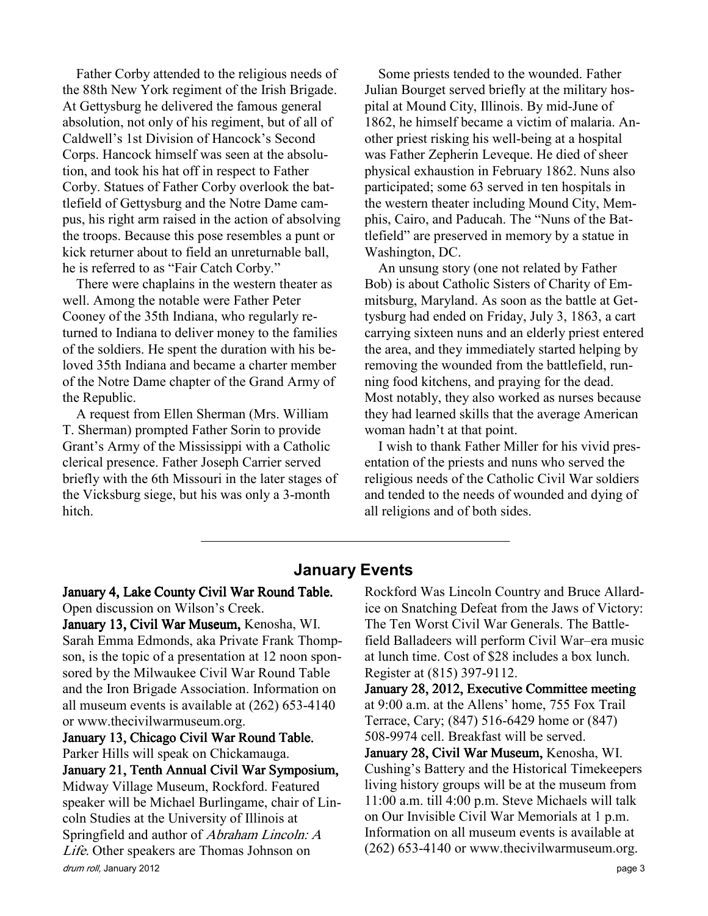Father Corby attended to the religious needs of the 88th New York regiment of the Irish Brigade. At Gettysburg he delivered the famous general absolution, not only of his regiment, but of all of Caldwell's 1st Division of Hancock's Second Corps. Hancock himself was seen at the absolution, and took his hat off in respect to Father Corby. Statues of Father Corby overlook the battlefield of Gettysburg and the Notre Dame campus, his right arm raised in the action of absolving the troops. Because this pose resembles a punt or kick returner about to field an unreturnable ball, he is referred to as "Fair Catch Corby."

There were chaplains in the western theater as well. Among the notable were Father Peter Cooney of the 35th Indiana, who regularly returned to Indiana to deliver money to the families of the soldiers. He spent the duration with his beloved 35th Indiana and became a charter member of the Notre Dame chapter of the Grand Army of the Republic.

A request from Ellen Sherman (Mrs. William T. Sherman) prompted Father Sorin to provide Grant's Army of the Mississippi with a Catholic clerical presence. Father Joseph Carrier served briefly with the 6th Missouri in the later stages of the Vicksburg siege, but his was only a 3-month hitch.

Some priests tended to the wounded. Father Julian Bourget served briefly at the military hospital at Mound City, Illinois. By mid-June of 1862, he himself became a victim of malaria. Another priest risking his well-being at a hospital was Father Zepherin Leveque. He died of sheer physical exhaustion in February 1862. Nuns also participated; some 63 served in ten hospitals in the western theater including Mound City, Memphis, Cairo, and Paducah. The "Nuns of the Battlefield" are preserved in memory by a statue in Washington, DC.

An unsung story (one not related by Father Bob) is about Catholic Sisters of Charity of Emmitsburg, Maryland. As soon as the battle at Gettysburg had ended on Friday, July 3, 1863, a cart carrying sixteen nuns and an elderly priest entered the area, and they immediately started helping by removing the wounded from the battlefield, running food kitchens, and praying for the dead. Most notably, they also worked as nurses because they had learned skills that the average American woman hadn't at that point.

I wish to thank Father Miller for his vivid presentation of the priests and nuns who served the religious needs of the Catholic Civil War soldiers and tended to the needs of wounded and dying of all religions and of both sides.

### January Events

## January 4, Lake County Civil War Round Table.

Open discussion on Wilson's Creek. January 13, Civil War Museum, Kenosha, WI. Sarah Emma Edmonds, aka Private Frank Thompson, is the topic of a presentation at 12 noon sponsored by the Milwaukee Civil War Round Table and the Iron Brigade Association. Information on all museum events is available at (262) 653-4140 or www.thecivilwarmuseum.org.

drum roll, January 2012 **page 3** January 13, Chicago Civil War Round Table. Parker Hills will speak on Chickamauga. January 21, Tenth Annual Civil War Symposium, Midway Village Museum, Rockford. Featured speaker will be Michael Burlingame, chair of Lincoln Studies at the University of Illinois at Springfield and author of Abraham Lincoln: A Life. Other speakers are Thomas Johnson on

Rockford Was Lincoln Country and Bruce Allardice on Snatching Defeat from the Jaws of Victory: The Ten Worst Civil War Generals. The Battlefield Balladeers will perform Civil War–era music at lunch time. Cost of \$28 includes a box lunch. Register at (815) 397-9112.

January 28, 2012, Executive Committee meeting at 9:00 a.m. at the Allens' home, 755 Fox Trail Terrace, Cary; (847) 516-6429 home or (847) 508-9974 cell. Breakfast will be served.

January 28, Civil War Museum, Kenosha, WI. Cushing's Battery and the Historical Timekeepers living history groups will be at the museum from 11:00 a.m. till 4:00 p.m. Steve Michaels will talk on Our Invisible Civil War Memorials at 1 p.m. Information on all museum events is available at (262) 653-4140 or www.thecivilwarmuseum.org.